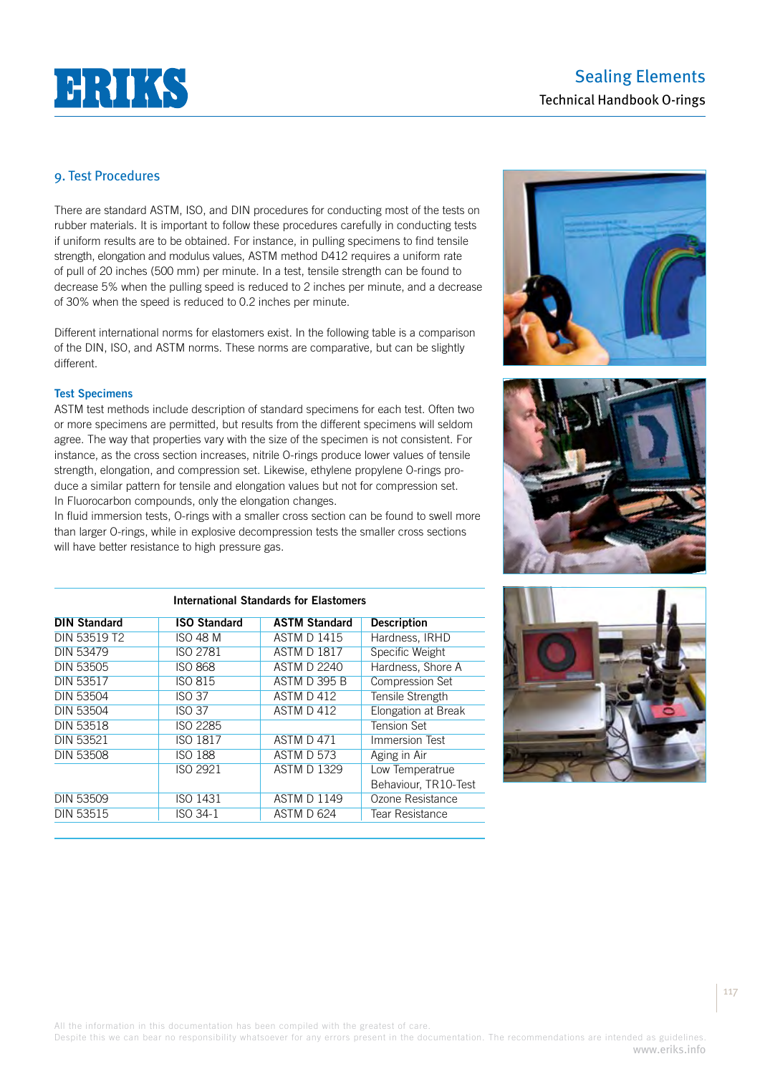

# Sealing Elements Technical Handbook O-rings

# 9. Test Procedures

There are standard ASTM, ISO, and DIN procedures for conducting most of the tests on rubber materials. It is important to follow these procedures carefully in conducting tests if uniform results are to be obtained. For instance, in pulling specimens to find tensile strength, elongation and modulus values, ASTM method D412 requires a uniform rate of pull of 20 inches (500 mm) per minute. In a test, tensile strength can be found to decrease 5% when the pulling speed is reduced to 2 inches per minute, and a decrease of 30% when the speed is reduced to 0.2 inches per minute.

Different international norms for elastomers exist. In the following table is a comparison of the DIN, ISO, and ASTM norms. These norms are comparative, but can be slightly different.

### **Test Specimens**

ASTM test methods include description of standard specimens for each test. Often two or more specimens are permitted, but results from the different specimens will seldom agree. The way that properties vary with the size of the specimen is not consistent. For instance, as the cross section increases, nitrile O-rings produce lower values of tensile strength, elongation, and compression set. Likewise, ethylene propylene O-rings produce a similar pattern for tensile and elongation values but not for compression set. In Fluorocarbon compounds, only the elongation changes.

In fluid immersion tests, O-rings with a smaller cross section can be found to swell more than larger O-rings, while in explosive decompression tests the smaller cross sections will have better resistance to high pressure gas.

| <b>International Standards for Elastomers</b> |                     |                      |                        |  |
|-----------------------------------------------|---------------------|----------------------|------------------------|--|
| <b>DIN Standard</b>                           | <b>ISO Standard</b> | <b>ASTM Standard</b> | <b>Description</b>     |  |
| DIN 53519 T2                                  | ISO 48 M            | <b>ASTM D 1415</b>   | Hardness, IRHD         |  |
| <b>DIN 53479</b>                              | ISO 2781            | <b>ASTM D 1817</b>   | Specific Weight        |  |
| DIN 53505                                     | <b>ISO 868</b>      | <b>ASTM D 2240</b>   | Hardness, Shore A      |  |
| <b>DIN 53517</b>                              | ISO 815             | <b>ASTM D 395 B</b>  | <b>Compression Set</b> |  |
| <b>DIN 53504</b>                              | ISO 37              | ASTM D 412           | Tensile Strength       |  |
| DIN 53504                                     | ISO 37              | ASTM D 412           | Elongation at Break    |  |
| <b>DIN 53518</b>                              | ISO 2285            |                      | <b>Tension Set</b>     |  |
| <b>DIN 53521</b>                              | ISO 1817            | ASTM D 471           | Immersion Test         |  |
| <b>DIN 53508</b>                              | <b>ISO 188</b>      | ASTM D 573           | Aging in Air           |  |
|                                               | ISO 2921            | <b>ASTM D 1329</b>   | Low Temperatrue        |  |
|                                               |                     |                      | Behaviour, TR10-Test   |  |
| <b>DIN 53509</b>                              | ISO 1431            | <b>ASTM D 1149</b>   | Ozone Resistance       |  |
| <b>DIN 53515</b>                              | ISO 34-1            | ASTM D 624           | Tear Resistance        |  |







Despite this we can bear no responsibility whatsoever for any errors present in the documentation. The recommendations are intended as guidelines. www.eriks.info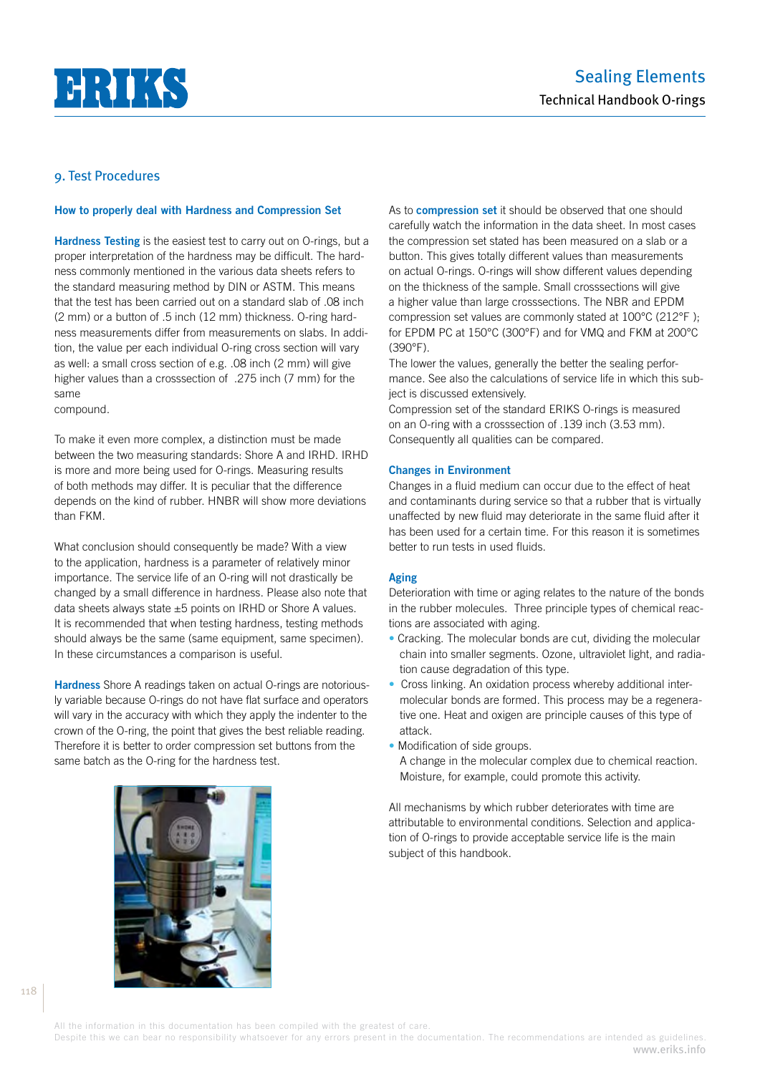

#### **How to properly deal with Hardness and Compression Set**

**Hardness Testing** is the easiest test to carry out on O-rings, but a proper interpretation of the hardness may be difficult. The hardness commonly mentioned in the various data sheets refers to the standard measuring method by DIN or ASTM. This means that the test has been carried out on a standard slab of .08 inch (2 mm) or a button of .5 inch (12 mm) thickness. O-ring hardness measurements differ from measurements on slabs. In addition, the value per each individual O-ring cross section will vary as well: a small cross section of e.g. .08 inch (2 mm) will give higher values than a crosssection of .275 inch (7 mm) for the same

compound.

To make it even more complex, a distinction must be made between the two measuring standards: Shore A and IRHD. IRHD is more and more being used for O-rings. Measuring results of both methods may differ. It is peculiar that the difference depends on the kind of rubber. HNBR will show more deviations than FKM.

What conclusion should consequently be made? With a view to the application, hardness is a parameter of relatively minor importance. The service life of an O-ring will not drastically be changed by a small difference in hardness. Please also note that data sheets always state ±5 points on IRHD or Shore A values. It is recommended that when testing hardness, testing methods should always be the same (same equipment, same specimen). In these circumstances a comparison is useful.

**Hardness** Shore A readings taken on actual O-rings are notoriously variable because O-rings do not have flat surface and operators will vary in the accuracy with which they apply the indenter to the crown of the O-ring, the point that gives the best reliable reading. Therefore it is better to order compression set buttons from the same batch as the O-ring for the hardness test.

As to **compression set** it should be observed that one should carefully watch the information in the data sheet. In most cases the compression set stated has been measured on a slab or a button. This gives totally different values than measurements on actual O-rings. O-rings will show different values depending on the thickness of the sample. Small crosssections will give a higher value than large crosssections. The NBR and EPDM compression set values are commonly stated at 100°C (212°F ); for EPDM PC at 150°C (300°F) and for VMQ and FKM at 200°C (390°F).

The lower the values, generally the better the sealing performance. See also the calculations of service life in which this subject is discussed extensively.

Compression set of the standard ERIKS O-rings is measured on an O-ring with a crosssection of .139 inch (3.53 mm). Consequently all qualities can be compared.

#### **Changes in Environment**

Changes in a fluid medium can occur due to the effect of heat and contaminants during service so that a rubber that is virtually unaffected by new fluid may deteriorate in the same fluid after it has been used for a certain time. For this reason it is sometimes better to run tests in used fluids.

#### **Aging**

Deterioration with time or aging relates to the nature of the bonds in the rubber molecules. Three principle types of chemical reactions are associated with aging.

- Cracking. The molecular bonds are cut, dividing the molecular chain into smaller segments. Ozone, ultraviolet light, and radiation cause degradation of this type.
- Cross linking. An oxidation process whereby additional intermolecular bonds are formed. This process may be a regenerative one. Heat and oxigen are principle causes of this type of attack.
- Modification of side groups.
- A change in the molecular complex due to chemical reaction. Moisture, for example, could promote this activity.

All mechanisms by which rubber deteriorates with time are attributable to environmental conditions. Selection and application of O-rings to provide acceptable service life is the main subject of this handbook.

118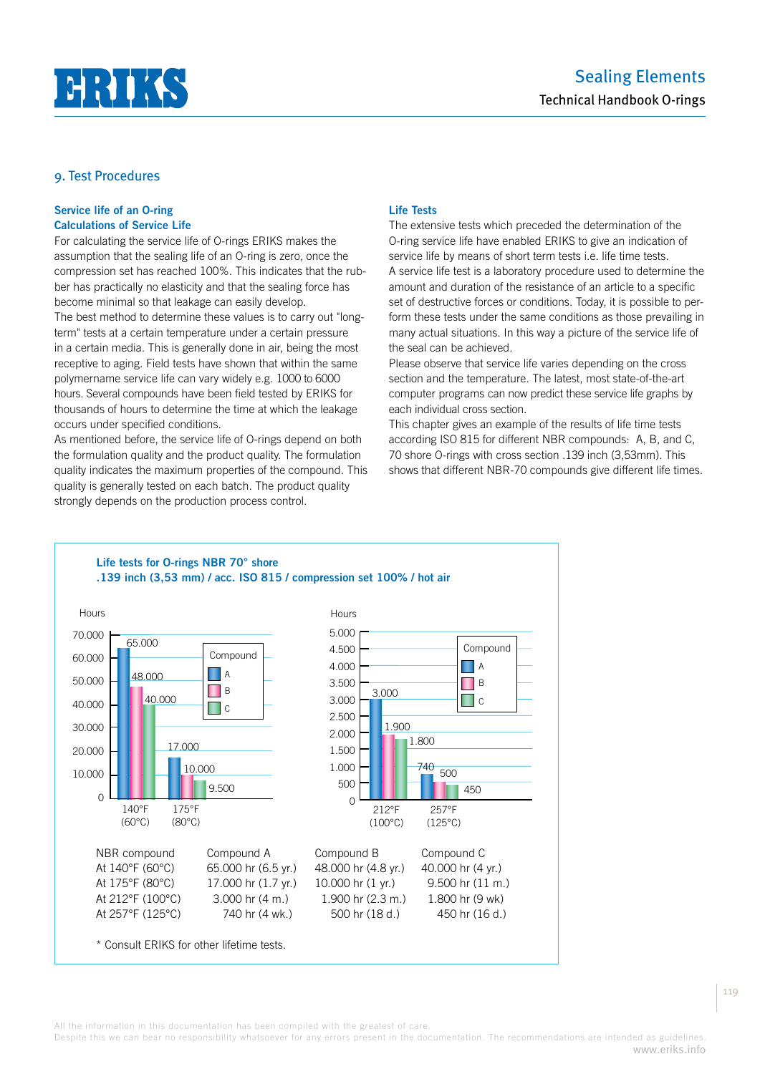

## **Service life of an O-ring Calculations of Service Life**

For calculating the service life of O-rings ERIKS makes the assumption that the sealing life of an O-ring is zero, once the compression set has reached 100%. This indicates that the rubber has practically no elasticity and that the sealing force has become minimal so that leakage can easily develop. The best method to determine these values is to carry out "long-

term" tests at a certain temperature under a certain pressure in a certain media. This is generally done in air, being the most receptive to aging. Field tests have shown that within the same polymername service life can vary widely e.g. 1000 to 6000 hours. Several compounds have been field tested by ERIKS for thousands of hours to determine the time at which the leakage occurs under specified conditions.

As mentioned before, the service life of O-rings depend on both the formulation quality and the product quality. The formulation quality indicates the maximum properties of the compound. This quality is generally tested on each batch. The product quality strongly depends on the production process control.

## **Life Tests**

The extensive tests which preceded the determination of the O-ring service life have enabled ERIKS to give an indication of service life by means of short term tests i.e. life time tests. A service life test is a laboratory procedure used to determine the amount and duration of the resistance of an article to a specific set of destructive forces or conditions. Today, it is possible to perform these tests under the same conditions as those prevailing in many actual situations. In this way a picture of the service life of the seal can be achieved.

Please observe that service life varies depending on the cross section and the temperature. The latest, most state-of-the-art computer programs can now predict these service life graphs by each individual cross section.

This chapter gives an example of the results of life time tests according ISO 815 for different NBR compounds: A, B, and C, 70 shore O-rings with cross section .139 inch (3,53mm). This shows that different NBR-70 compounds give different life times.

## **Life tests for O-rings NBR 70° shore .139 inch (3,53 mm) / acc. ISO 815 / compression set 100% / hot air**



All the information in this documentation has been compiled with the greatest of care.

Despite this we can bear no responsibility whatsoever for any errors present in the documentation. The recommendations are intended as guidelines. www.eriks.info 119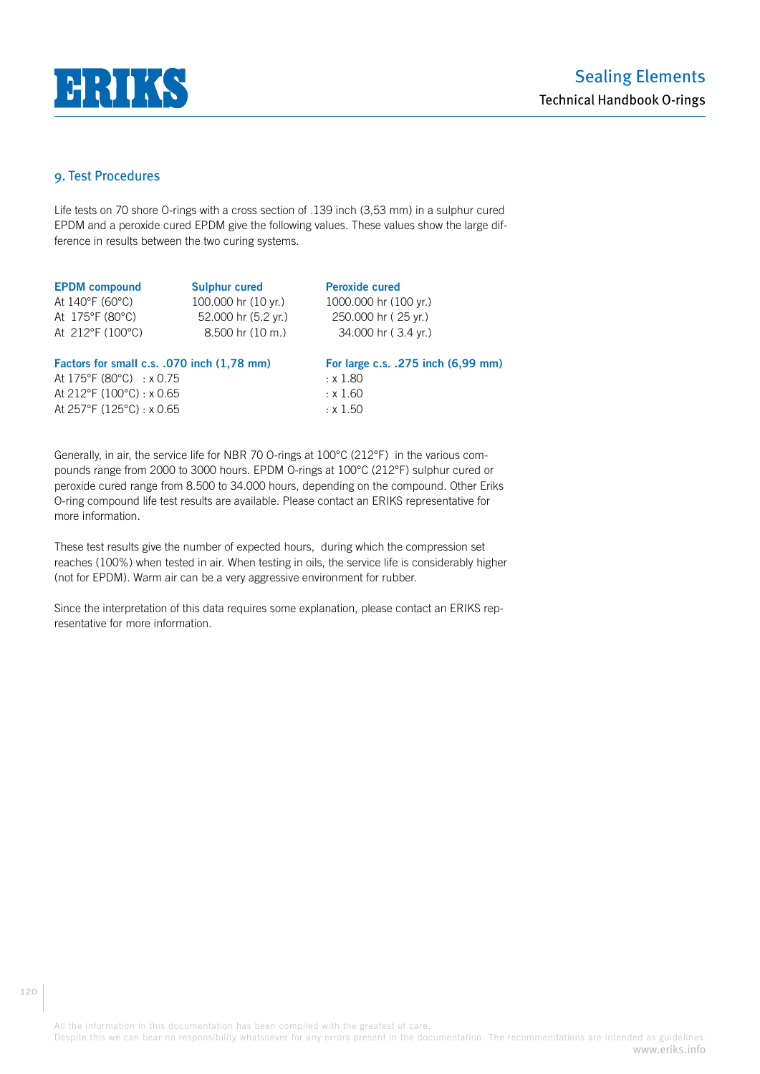

Life tests on 70 shore O-rings with a cross section of .139 inch (3,53 mm) in a sulphur cured EPDM and a peroxide cured EPDM give the following values. These values show the large difference in results between the two curing systems.

| <b>EPDM</b> compound                           | <b>Sulphur cured</b>         | <b>Peroxide cured</b>              |
|------------------------------------------------|------------------------------|------------------------------------|
| At 140°F (60°C)                                | 100.000 hr (10 yr.)          | 1000.000 hr (100 yr.)              |
| At 175°F (80°C)                                | 52.000 hr (5.2 yr.)          | 250.000 hr (25 yr.)                |
| At 212°F (100°C)                               | $8.500$ hr $(10 \text{ m.})$ | 34.000 hr (3.4 yr.)                |
| Factors for small c.s. .070 inch (1,78 mm)     |                              | For large c.s. .275 inch (6,99 mm) |
| At $175^{\circ}F(80^{\circ}C)$ : x 0.75        |                              | : x 1.80                           |
| At $212^{\circ}$ F (100 $^{\circ}$ C) : x 0.65 |                              | : x 1.60                           |

At  $257^{\circ}F(125^{\circ}C):$  x 0.65  $\cdot x 1.50$ 

Generally, in air, the service life for NBR 70 O-rings at 100°C (212°F) in the various compounds range from 2000 to 3000 hours. EPDM O-rings at 100°C (212°F) sulphur cured or peroxide cured range from 8.500 to 34.000 hours, depending on the compound. Other Eriks O-ring compound life test results are available. Please contact an ERIKS representative for more information.

These test results give the number of expected hours, during which the compression set reaches (100%) when tested in air. When testing in oils, the service life is considerably higher (not for EPDM). Warm air can be a very aggressive environment for rubber.

Since the interpretation of this data requires some explanation, please contact an ERIKS representative for more information.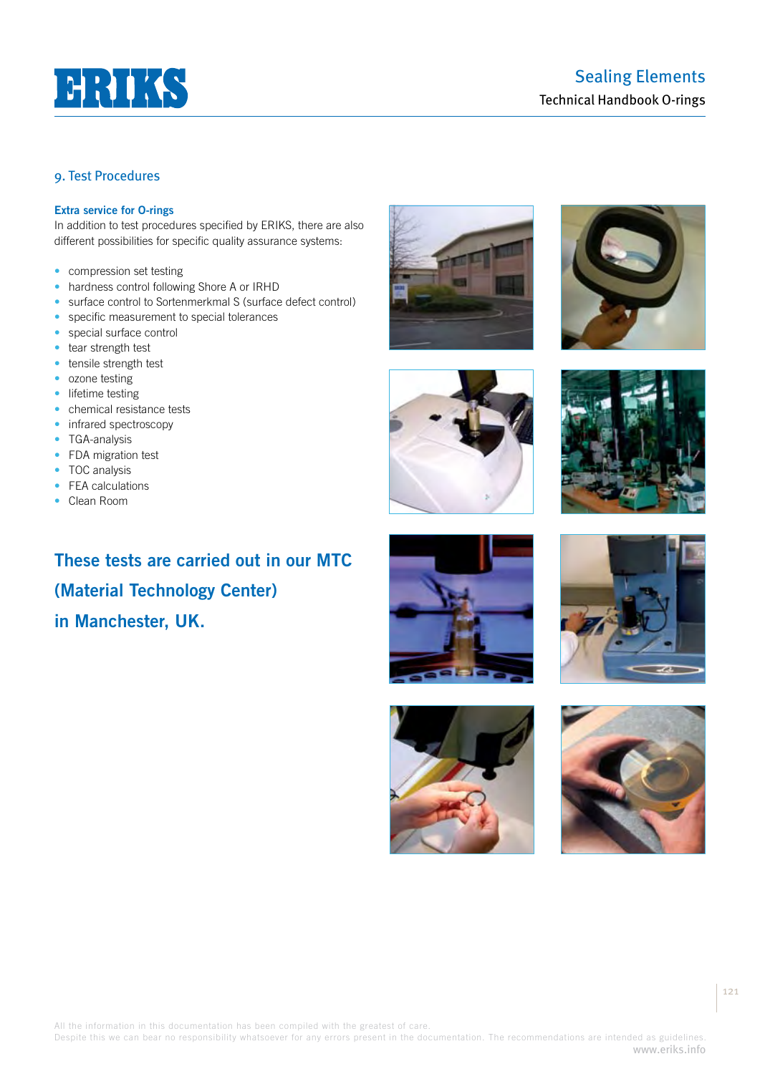

## **Extra service for O-rings**

In addition to test procedures specified by ERIKS, there are also different possibilities for specific quality assurance systems:

- compression set testing
- hardness control following Shore A or IRHD
- surface control to Sortenmerkmal S (surface defect control)
- specific measurement to special tolerances
- special surface control
- tear strength test
- tensile strength test
- ozone testing
- lifetime testing
- chemical resistance tests
- infrared spectroscopy
- TGA-analysis
- FDA migration test
- TOC analysis
- FEA calculations
- Clean Room

**These tests are carried out in our MTC (Material Technology Center) in Manchester, UK.**

















All the information in this documentation has been compiled with the greatest of care.

Despite this we can bear no responsibility whatsoever for any errors present in the documentation. The recommendations are intended as guidelines. www.eriks.info

121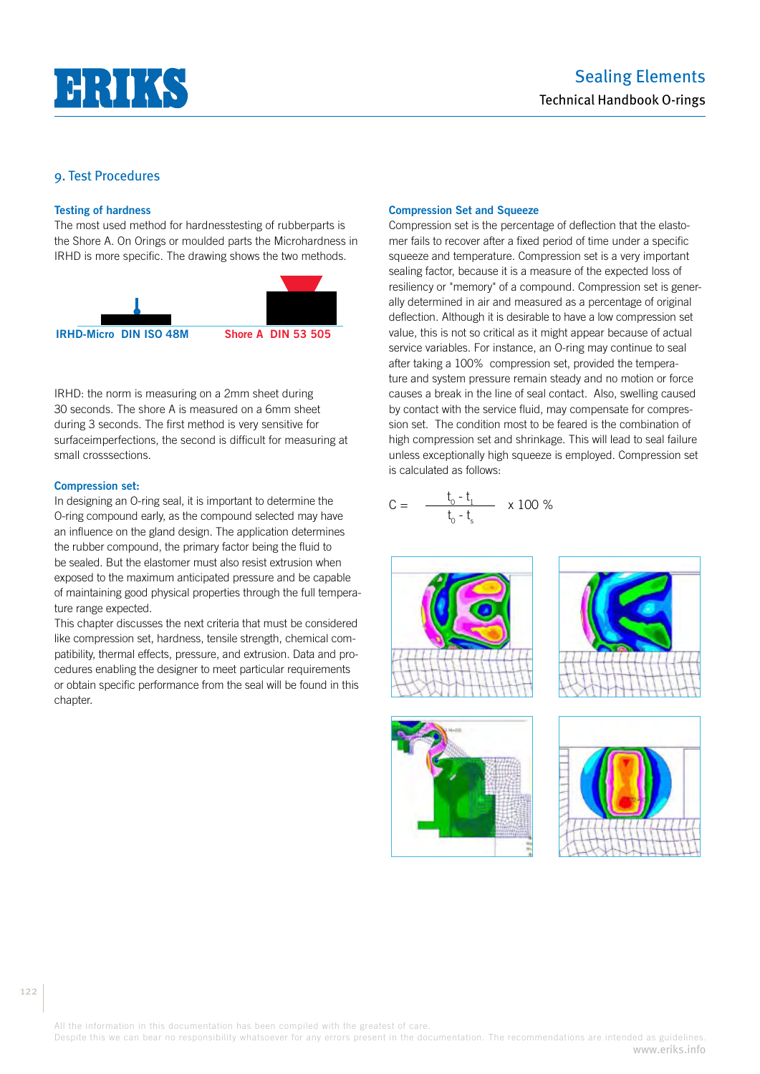

#### **Testing of hardness**

The most used method for hardnesstesting of rubberparts is the Shore A. On Orings or moulded parts the Microhardness in IRHD is more specific. The drawing shows the two methods.



IRHD: the norm is measuring on a 2mm sheet during 30 seconds. The shore A is measured on a 6mm sheet during 3 seconds. The first method is very sensitive for surfaceimperfections, the second is difficult for measuring at small crosssections.

#### **Compression set:**

In designing an O-ring seal, it is important to determine the O-ring compound early, as the compound selected may have an influence on the gland design. The application determines the rubber compound, the primary factor being the fluid to be sealed. But the elastomer must also resist extrusion when exposed to the maximum anticipated pressure and be capable of maintaining good physical properties through the full temperature range expected.

This chapter discusses the next criteria that must be considered like compression set, hardness, tensile strength, chemical compatibility, thermal effects, pressure, and extrusion. Data and procedures enabling the designer to meet particular requirements or obtain specific performance from the seal will be found in this chapter.

#### **Compression Set and Squeeze**

Compression set is the percentage of deflection that the elastomer fails to recover after a fixed period of time under a specific squeeze and temperature. Compression set is a very important sealing factor, because it is a measure of the expected loss of resiliency or "memory" of a compound. Compression set is generally determined in air and measured as a percentage of original deflection. Although it is desirable to have a low compression set value, this is not so critical as it might appear because of actual service variables. For instance, an O-ring may continue to seal after taking a 100% compression set, provided the temperature and system pressure remain steady and no motion or force causes a break in the line of seal contact. Also, swelling caused by contact with the service fluid, may compensate for compression set. The condition most to be feared is the combination of high compression set and shrinkage. This will lead to seal failure unless exceptionally high squeeze is employed. Compression set is calculated as follows:

$$
C = \frac{t_0 - t_1}{t_0 - t_s} \times 100\%
$$









All the information in this documentation has been compiled with the greatest of care.

Despite this we can bear no responsibility whatsoever for any errors present in the documentation. The recommendations are intended as guidelines. www.eriks.info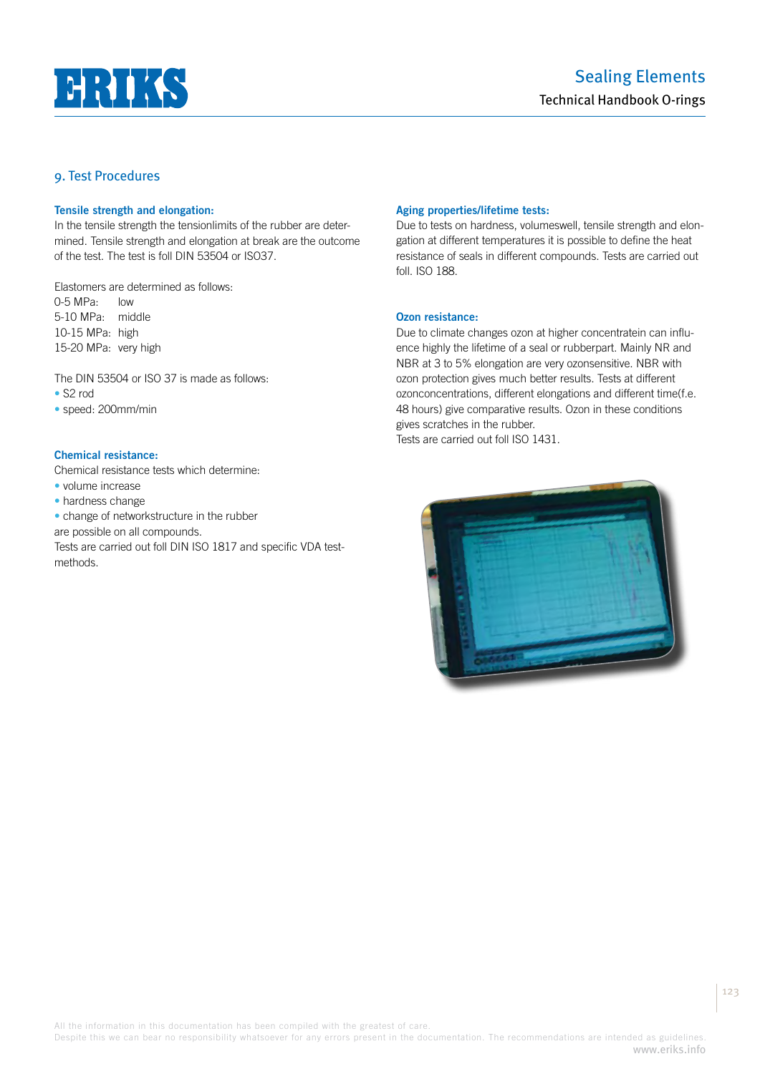

#### **Tensile strength and elongation:**

In the tensile strength the tensionlimits of the rubber are determined. Tensile strength and elongation at break are the outcome of the test. The test is foll DIN 53504 or ISO37.

Elastomers are determined as follows:  $0-5$  MPa:  $low$ 5-10 MPa: middle 10-15 MPa: high 15-20 MPa: very high

The DIN 53504 or ISO 37 is made as follows: • S2 rod

• speed: 200mm/min

#### **Chemical resistance:**

Chemical resistance tests which determine:

- volume increase
- hardness change

• change of networkstructure in the rubber

are possible on all compounds.

Tests are carried out foll DIN ISO 1817 and specific VDA testmethods.

#### **Aging properties/lifetime tests:**

Due to tests on hardness, volumeswell, tensile strength and elongation at different temperatures it is possible to define the heat resistance of seals in different compounds. Tests are carried out foll. ISO 188.

## **Ozon resistance:**

Due to climate changes ozon at higher concentratein can influence highly the lifetime of a seal or rubberpart. Mainly NR and NBR at 3 to 5% elongation are very ozonsensitive. NBR with ozon protection gives much better results. Tests at different ozonconcentrations, different elongations and different time(f.e. 48 hours) give comparative results. Ozon in these conditions gives scratches in the rubber. Tests are carried out foll ISO 1431.

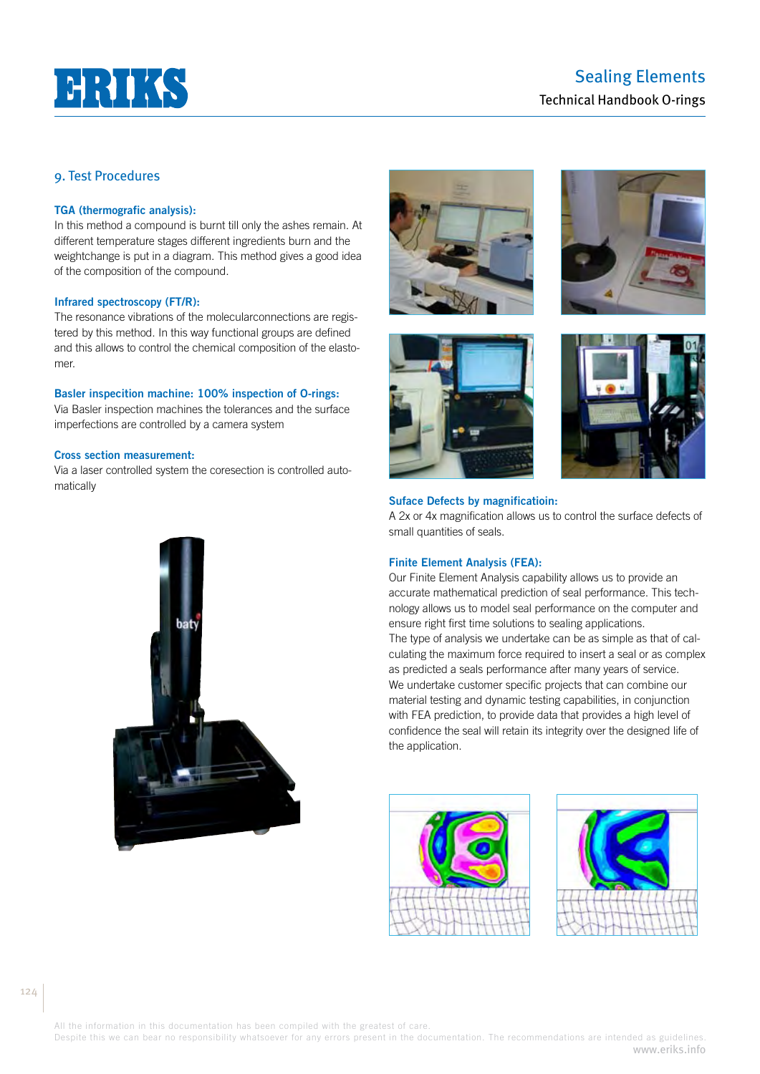

#### **TGA (thermografic analysis):**

In this method a compound is burnt till only the ashes remain. At different temperature stages different ingredients burn and the weightchange is put in a diagram. This method gives a good idea of the composition of the compound.

### **Infrared spectroscopy (FT/R):**

The resonance vibrations of the molecularconnections are registered by this method. In this way functional groups are defined and this allows to control the chemical composition of the elastomer.

#### **Basler inspecition machine: 100% inspection of O-rings:**

Via Basler inspection machines the tolerances and the surface imperfections are controlled by a camera system

## **Cross section measurement:**

Via a laser controlled system the coresection is controlled automatically









#### **Suface Defects by magnificatioin:**

A 2x or 4x magnification allows us to control the surface defects of small quantities of seals.

#### **Finite Element Analysis (FEA):**

Our Finite Element Analysis capability allows us to provide an accurate mathematical prediction of seal performance. This technology allows us to model seal performance on the computer and ensure right first time solutions to sealing applications. The type of analysis we undertake can be as simple as that of calculating the maximum force required to insert a seal or as complex as predicted a seals performance after many years of service. We undertake customer specific projects that can combine our material testing and dynamic testing capabilities, in conjunction with FEA prediction, to provide data that provides a high level of confidence the seal will retain its integrity over the designed life of the application.